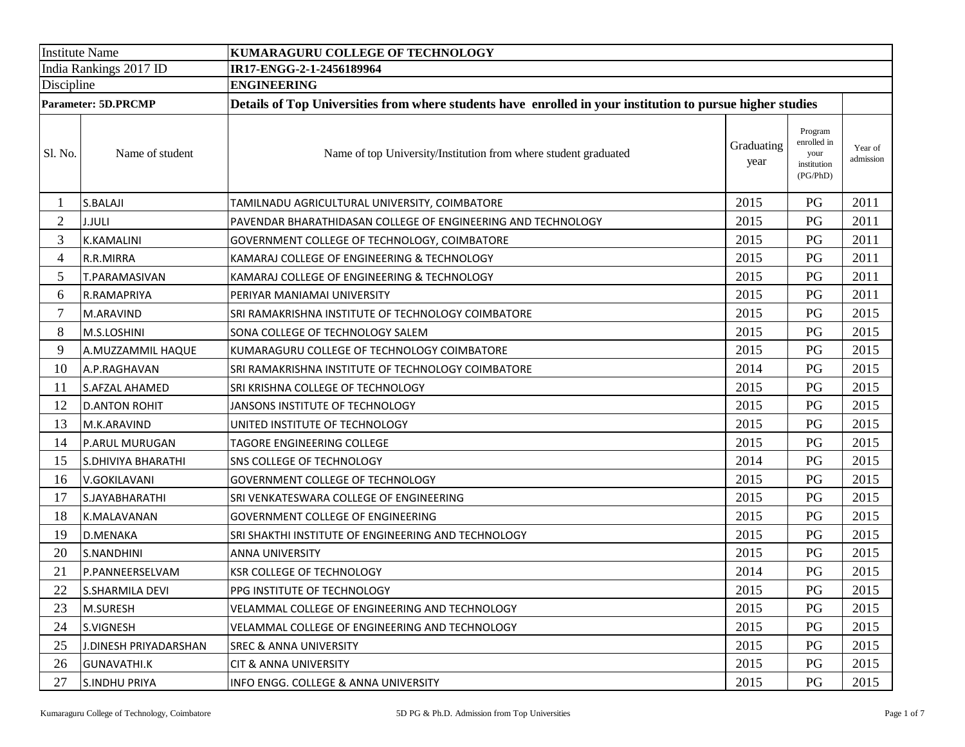| <b>Institute Name</b>      |                       | KUMARAGURU COLLEGE OF TECHNOLOGY                                                                           |                    |                                                           |                      |  |  |  |
|----------------------------|-----------------------|------------------------------------------------------------------------------------------------------------|--------------------|-----------------------------------------------------------|----------------------|--|--|--|
| India Rankings 2017 ID     |                       | IR17-ENGG-2-1-2456189964                                                                                   |                    |                                                           |                      |  |  |  |
| Discipline                 |                       | <b>ENGINEERING</b>                                                                                         |                    |                                                           |                      |  |  |  |
| <b>Parameter: 5D.PRCMP</b> |                       | Details of Top Universities from where students have enrolled in your institution to pursue higher studies |                    |                                                           |                      |  |  |  |
| Sl. No.                    | Name of student       | Name of top University/Institution from where student graduated                                            | Graduating<br>year | Program<br>enrolled in<br>your<br>institution<br>(PG/PhD) | Year of<br>admission |  |  |  |
|                            | S.BALAJI              | TAMILNADU AGRICULTURAL UNIVERSITY, COIMBATORE                                                              | 2015               | PG                                                        | 2011                 |  |  |  |
| $\overline{2}$             | <b>J.JULI</b>         | PAVENDAR BHARATHIDASAN COLLEGE OF ENGINEERING AND TECHNOLOGY                                               | 2015               | PG                                                        | 2011                 |  |  |  |
| 3                          | <b>K.KAMALINI</b>     | GOVERNMENT COLLEGE OF TECHNOLOGY, COIMBATORE                                                               | 2015               | PG                                                        | 2011                 |  |  |  |
| 4                          | R.R.MIRRA             | KAMARAJ COLLEGE OF ENGINEERING & TECHNOLOGY                                                                | 2015               | PG                                                        | 2011                 |  |  |  |
| 5                          | <b>T.PARAMASIVAN</b>  | KAMARAJ COLLEGE OF ENGINEERING & TECHNOLOGY                                                                | 2015               | PG                                                        | 2011                 |  |  |  |
| 6                          | R.RAMAPRIYA           | PERIYAR MANIAMAI UNIVERSITY                                                                                | 2015               | PG                                                        | 2011                 |  |  |  |
| $\overline{7}$             | M.ARAVIND             | SRI RAMAKRISHNA INSTITUTE OF TECHNOLOGY COIMBATORE                                                         | 2015               | PG                                                        | 2015                 |  |  |  |
| 8                          | M.S.LOSHINI           | SONA COLLEGE OF TECHNOLOGY SALEM                                                                           | 2015               | PG                                                        | 2015                 |  |  |  |
| 9                          | A.MUZZAMMIL HAQUE     | KUMARAGURU COLLEGE OF TECHNOLOGY COIMBATORE                                                                | 2015               | PG                                                        | 2015                 |  |  |  |
| 10                         | A.P.RAGHAVAN          | SRI RAMAKRISHNA INSTITUTE OF TECHNOLOGY COIMBATORE                                                         | 2014               | PG                                                        | 2015                 |  |  |  |
| 11                         | <b>S.AFZAL AHAMED</b> | SRI KRISHNA COLLEGE OF TECHNOLOGY                                                                          | 2015               | PG                                                        | 2015                 |  |  |  |
| 12                         | <b>D.ANTON ROHIT</b>  | JANSONS INSTITUTE OF TECHNOLOGY                                                                            | 2015               | PG                                                        | 2015                 |  |  |  |
| 13                         | M.K.ARAVIND           | UNITED INSTITUTE OF TECHNOLOGY                                                                             | 2015               | PG                                                        | 2015                 |  |  |  |
| 14                         | P.ARUL MURUGAN        | TAGORE ENGINEERING COLLEGE                                                                                 | 2015               | PG                                                        | 2015                 |  |  |  |
| 15                         | S.DHIVIYA BHARATHI    | SNS COLLEGE OF TECHNOLOGY                                                                                  | 2014               | PG                                                        | 2015                 |  |  |  |
| 16                         | V.GOKILAVANI          | GOVERNMENT COLLEGE OF TECHNOLOGY                                                                           | 2015               | PG                                                        | 2015                 |  |  |  |
| 17                         | S.JAYABHARATHI        | SRI VENKATESWARA COLLEGE OF ENGINEERING                                                                    | 2015               | PG                                                        | 2015                 |  |  |  |
| 18                         | K.MALAVANAN           | GOVERNMENT COLLEGE OF ENGINEERING                                                                          | 2015               | PG                                                        | 2015                 |  |  |  |
| 19                         | <b>D.MENAKA</b>       | SRI SHAKTHI INSTITUTE OF ENGINEERING AND TECHNOLOGY                                                        | 2015               | PG                                                        | 2015                 |  |  |  |
| 20                         | S.NANDHINI            | ANNA UNIVERSITY                                                                                            | 2015               | PG                                                        | 2015                 |  |  |  |
| 21                         | P.PANNEERSELVAM       | KSR COLLEGE OF TECHNOLOGY                                                                                  | 2014               | PG                                                        | 2015                 |  |  |  |
| 22                         | S.SHARMILA DEVI       | PPG INSTITUTE OF TECHNOLOGY                                                                                | 2015               | PG                                                        | 2015                 |  |  |  |
| 23                         | M.SURESH              | VELAMMAL COLLEGE OF ENGINEERING AND TECHNOLOGY                                                             | 2015               | PG                                                        | 2015                 |  |  |  |
| 24                         | S.VIGNESH             | VELAMMAL COLLEGE OF ENGINEERING AND TECHNOLOGY                                                             | 2015               | PG                                                        | 2015                 |  |  |  |
| 25                         | J.DINESH PRIYADARSHAN | <b>SREC &amp; ANNA UNIVERSITY</b>                                                                          | 2015               | PG                                                        | 2015                 |  |  |  |
| 26                         | <b>GUNAVATHI.K</b>    | <b>CIT &amp; ANNA UNIVERSITY</b>                                                                           | 2015               | PG                                                        | 2015                 |  |  |  |
| 27                         | <b>S.INDHU PRIYA</b>  | INFO ENGG. COLLEGE & ANNA UNIVERSITY                                                                       | 2015               | PG                                                        | 2015                 |  |  |  |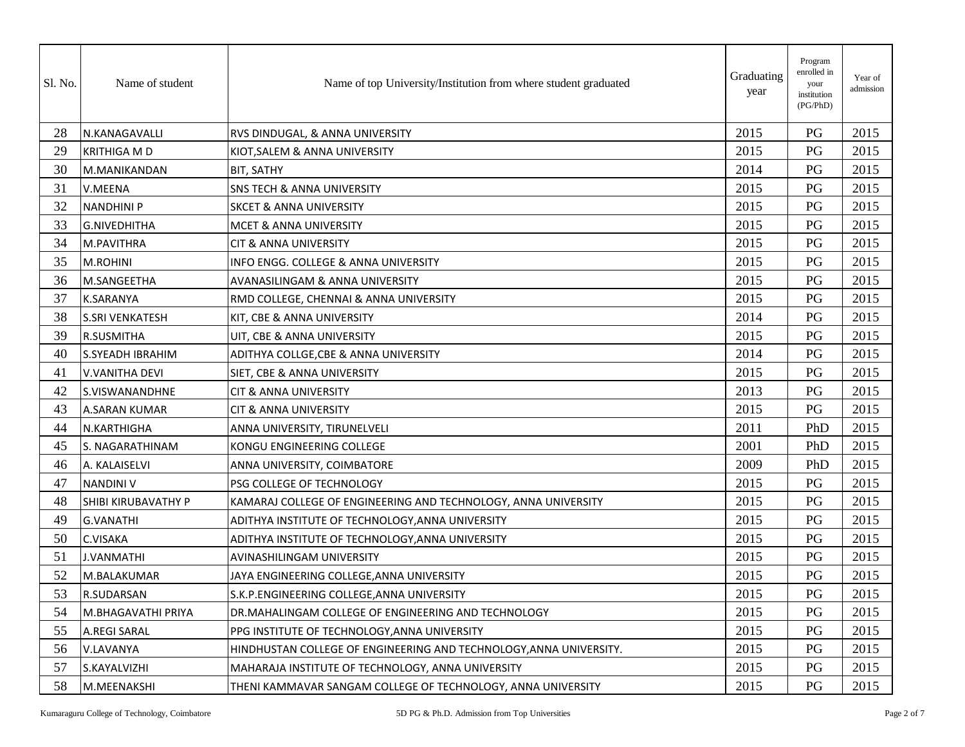| Sl. No. | Name of student         | Name of top University/Institution from where student graduated    | Graduating<br>year | Program<br>enrolled in<br>your<br>institution<br>(PG/PhD) | Year of<br>admission |
|---------|-------------------------|--------------------------------------------------------------------|--------------------|-----------------------------------------------------------|----------------------|
| 28      | N.KANAGAVALLI           | RVS DINDUGAL, & ANNA UNIVERSITY                                    | 2015               | PG                                                        | 2015                 |
| 29      | <b>KRITHIGA MD</b>      | KIOT, SALEM & ANNA UNIVERSITY                                      | 2015               | PG                                                        | 2015                 |
| 30      | M.MANIKANDAN            | <b>BIT, SATHY</b>                                                  | 2014               | PG                                                        | 2015                 |
| 31      | V.MEENA                 | <b>SNS TECH &amp; ANNA UNIVERSITY</b>                              | 2015               | PG                                                        | 2015                 |
| 32      | <b>NANDHINI P</b>       | <b>SKCET &amp; ANNA UNIVERSITY</b>                                 | 2015               | PG                                                        | 2015                 |
| 33      | <b>G.NIVEDHITHA</b>     | <b>MCET &amp; ANNA UNIVERSITY</b>                                  | 2015               | PG                                                        | 2015                 |
| 34      | M.PAVITHRA              | <b>CIT &amp; ANNA UNIVERSITY</b>                                   | 2015               | PG                                                        | 2015                 |
| 35      | M.ROHINI                | INFO ENGG. COLLEGE & ANNA UNIVERSITY                               | 2015               | PG                                                        | 2015                 |
| 36      | M.SANGEETHA             | AVANASILINGAM & ANNA UNIVERSITY                                    | 2015               | PG                                                        | 2015                 |
| 37      | <b>K.SARANYA</b>        | RMD COLLEGE, CHENNAI & ANNA UNIVERSITY                             | 2015               | PG                                                        | 2015                 |
| 38      | <b>S.SRI VENKATESH</b>  | KIT, CBE & ANNA UNIVERSITY                                         | 2014               | PG                                                        | 2015                 |
| 39      | R.SUSMITHA              | UIT, CBE & ANNA UNIVERSITY                                         | 2015               | PG                                                        | 2015                 |
| 40      | <b>S.SYEADH IBRAHIM</b> | ADITHYA COLLGE, CBE & ANNA UNIVERSITY                              | 2014               | PG                                                        | 2015                 |
| 41      | <b>V.VANITHA DEVI</b>   | SIET, CBE & ANNA UNIVERSITY                                        | 2015               | PG                                                        | 2015                 |
| 42      | S.VISWANANDHNE          | <b>CIT &amp; ANNA UNIVERSITY</b>                                   | 2013               | PG                                                        | 2015                 |
| 43      | <b>A.SARAN KUMAR</b>    | <b>CIT &amp; ANNA UNIVERSITY</b>                                   | 2015               | PG                                                        | 2015                 |
| 44      | N.KARTHIGHA             | ANNA UNIVERSITY, TIRUNELVELI                                       | 2011               | PhD                                                       | 2015                 |
| 45      | S. NAGARATHINAM         | KONGU ENGINEERING COLLEGE                                          | 2001               | PhD                                                       | 2015                 |
| 46      | A. KALAISELVI           | ANNA UNIVERSITY, COIMBATORE                                        | 2009               | PhD                                                       | 2015                 |
| 47      | <b>NANDINI V</b>        | PSG COLLEGE OF TECHNOLOGY                                          | 2015               | PG                                                        | 2015                 |
| 48      | SHIBI KIRUBAVATHY P     | KAMARAJ COLLEGE OF ENGINEERING AND TECHNOLOGY, ANNA UNIVERSITY     | 2015               | PG                                                        | 2015                 |
| 49      | G.VANATHI               | ADITHYA INSTITUTE OF TECHNOLOGY,ANNA UNIVERSITY                    | 2015               | PG                                                        | 2015                 |
| 50      | <b>C.VISAKA</b>         | ADITHYA INSTITUTE OF TECHNOLOGY, ANNA UNIVERSITY                   | 2015               | PG                                                        | 2015                 |
| 51      | J.VANMATHI              | AVINASHILINGAM UNIVERSITY                                          | 2015               | PG                                                        | 2015                 |
| 52      | M.BALAKUMAR             | JAYA ENGINEERING COLLEGE,ANNA UNIVERSITY                           | 2015               | PG                                                        | 2015                 |
| 53      | R.SUDARSAN              | S.K.P.ENGINEERING COLLEGE, ANNA UNIVERSITY                         | 2015               | PG                                                        | 2015                 |
| 54      | M.BHAGAVATHI PRIYA      | DR.MAHALINGAM COLLEGE OF ENGINEERING AND TECHNOLOGY                | 2015               | PG                                                        | 2015                 |
| 55      | A.REGI SARAL            | PPG INSTITUTE OF TECHNOLOGY, ANNA UNIVERSITY                       | 2015               | PG                                                        | 2015                 |
| 56      | V.LAVANYA               | HINDHUSTAN COLLEGE OF ENGINEERING AND TECHNOLOGY, ANNA UNIVERSITY. | 2015               | PG                                                        | 2015                 |
| 57      | S.KAYALVIZHI            | MAHARAJA INSTITUTE OF TECHNOLOGY, ANNA UNIVERSITY                  | 2015               | PG                                                        | 2015                 |
| 58      | M.MEENAKSHI             | THENI KAMMAVAR SANGAM COLLEGE OF TECHNOLOGY, ANNA UNIVERSITY       | 2015               | PG                                                        | 2015                 |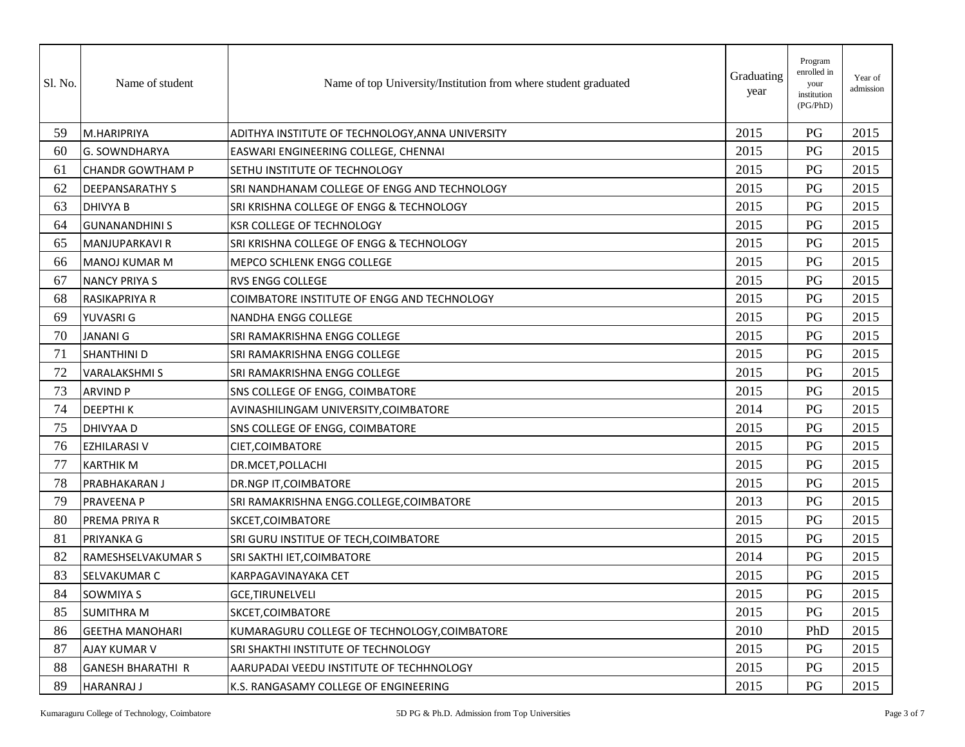| Sl. No. | Name of student          | Name of top University/Institution from where student graduated | Graduating<br>year | Program<br>enrolled in<br>your<br>institution<br>(PG/PhD) | Year of<br>admission |
|---------|--------------------------|-----------------------------------------------------------------|--------------------|-----------------------------------------------------------|----------------------|
| 59      | M.HARIPRIYA              | ADITHYA INSTITUTE OF TECHNOLOGY, ANNA UNIVERSITY                | 2015               | PG                                                        | 2015                 |
| 60      | G. SOWNDHARYA            | EASWARI ENGINEERING COLLEGE, CHENNAI                            | 2015               | PG                                                        | 2015                 |
| 61      | <b>CHANDR GOWTHAM P</b>  | SETHU INSTITUTE OF TECHNOLOGY                                   | 2015               | PG                                                        | 2015                 |
| 62      | <b>DEEPANSARATHY S</b>   | SRI NANDHANAM COLLEGE OF ENGG AND TECHNOLOGY                    | 2015               | PG                                                        | 2015                 |
| 63      | <b>DHIVYA B</b>          | SRI KRISHNA COLLEGE OF ENGG & TECHNOLOGY                        | 2015               | PG                                                        | 2015                 |
| 64      | <b>GUNANANDHINI S</b>    | <b>KSR COLLEGE OF TECHNOLOGY</b>                                | 2015               | PG                                                        | 2015                 |
| 65      | MANJUPARKAVI R           | SRI KRISHNA COLLEGE OF ENGG & TECHNOLOGY                        | 2015               | PG                                                        | 2015                 |
| 66      | <b>MANOJ KUMAR M</b>     | MEPCO SCHLENK ENGG COLLEGE                                      | 2015               | PG                                                        | 2015                 |
| 67      | <b>NANCY PRIYA S</b>     | <b>RVS ENGG COLLEGE</b>                                         | 2015               | PG                                                        | 2015                 |
| 68      | RASIKAPRIYA R            | COIMBATORE INSTITUTE OF ENGG AND TECHNOLOGY                     | 2015               | PG                                                        | 2015                 |
| 69      | YUVASRI G                | NANDHA ENGG COLLEGE                                             | 2015               | PG                                                        | 2015                 |
| 70      | <b>JANANI G</b>          | SRI RAMAKRISHNA ENGG COLLEGE                                    | 2015               | PG                                                        | 2015                 |
| 71      | SHANTHINI D              | SRI RAMAKRISHNA ENGG COLLEGE                                    | 2015               | PG                                                        | 2015                 |
| 72      | <b>VARALAKSHMIS</b>      | SRI RAMAKRISHNA ENGG COLLEGE                                    | 2015               | PG                                                        | 2015                 |
| 73      | <b>ARVIND P</b>          | SNS COLLEGE OF ENGG, COIMBATORE                                 | 2015               | PG                                                        | 2015                 |
| 74      | <b>DEEPTHIK</b>          | AVINASHILINGAM UNIVERSITY, COIMBATORE                           | 2014               | PG                                                        | 2015                 |
| 75      | DHIVYAA D                | SNS COLLEGE OF ENGG, COIMBATORE                                 | 2015               | PG                                                        | 2015                 |
| 76      | <b>EZHILARASI V</b>      | CIET, COIMBATORE                                                | 2015               | PG                                                        | 2015                 |
| 77      | <b>KARTHIK M</b>         | DR.MCET, POLLACHI                                               | 2015               | PG                                                        | 2015                 |
| 78      | PRABHAKARAN J            | DR.NGP IT, COIMBATORE                                           | 2015               | PG                                                        | 2015                 |
| 79      | <b>PRAVEENA P</b>        | SRI RAMAKRISHNA ENGG.COLLEGE,COIMBATORE                         | 2013               | PG                                                        | 2015                 |
| 80      | PREMA PRIYA R            | SKCET, COIMBATORE                                               | 2015               | PG                                                        | 2015                 |
| 81      | PRIYANKA G               | SRI GURU INSTITUE OF TECH, COIMBATORE                           | 2015               | PG                                                        | 2015                 |
| 82      | RAMESHSELVAKUMAR S       | SRI SAKTHI IET, COIMBATORE                                      | 2014               | PG                                                        | 2015                 |
| 83      | SELVAKUMAR C             | KARPAGAVINAYAKA CET                                             | 2015               | PG                                                        | 2015                 |
| 84      | <b>SOWMIYA S</b>         | <b>GCE, TIRUNELVELI</b>                                         | 2015               | PG                                                        | 2015                 |
| 85      | <b>SUMITHRA M</b>        | SKCET, COIMBATORE                                               | 2015               | PG                                                        | 2015                 |
| 86      | <b>GEETHA MANOHARI</b>   | KUMARAGURU COLLEGE OF TECHNOLOGY, COIMBATORE                    | 2010               | PhD                                                       | 2015                 |
| 87      | AJAY KUMAR V             | SRI SHAKTHI INSTITUTE OF TECHNOLOGY                             | 2015               | PG                                                        | 2015                 |
| 88      | <b>GANESH BHARATHI R</b> | AARUPADAI VEEDU INSTITUTE OF TECHHNOLOGY                        | 2015               | PG                                                        | 2015                 |
| 89      | <b>HARANRAJ J</b>        | K.S. RANGASAMY COLLEGE OF ENGINEERING                           | 2015               | PG                                                        | 2015                 |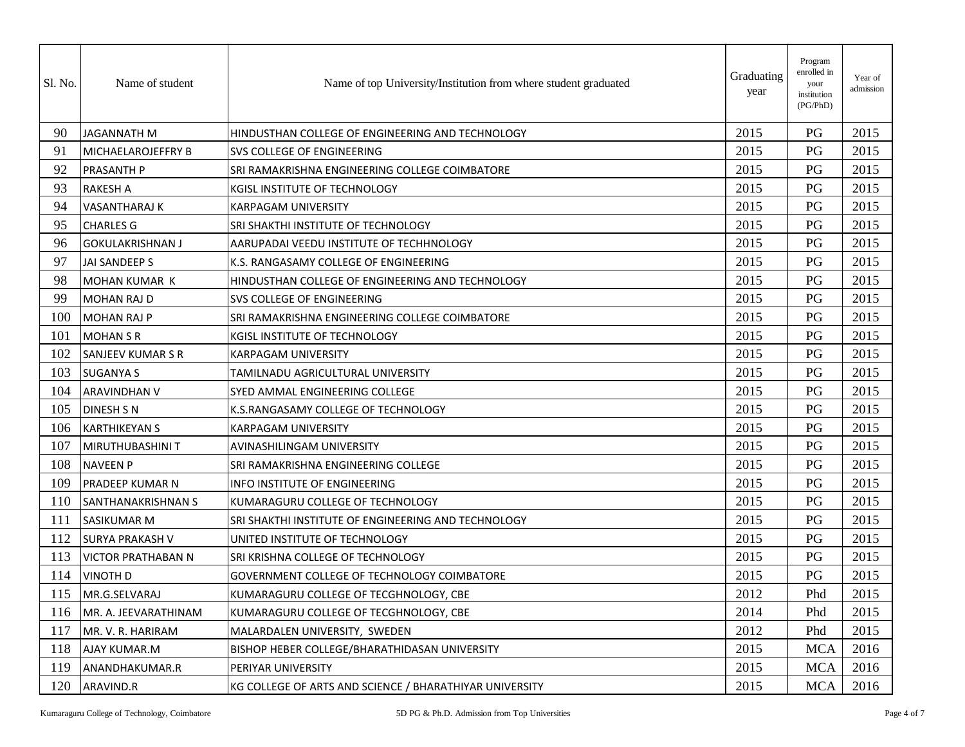| Sl. No. | Name of student           | Name of top University/Institution from where student graduated | Graduating<br>year | Program<br>enrolled in<br>your<br>institution<br>(PG/PhD) | Year of<br>admission |
|---------|---------------------------|-----------------------------------------------------------------|--------------------|-----------------------------------------------------------|----------------------|
| 90      | <b>JAGANNATH M</b>        | HINDUSTHAN COLLEGE OF ENGINEERING AND TECHNOLOGY                | 2015               | PG                                                        | 2015                 |
| 91      | MICHAELAROJEFFRY B        | SVS COLLEGE OF ENGINEERING                                      | 2015               | PG                                                        | 2015                 |
| 92      | PRASANTH P                | SRI RAMAKRISHNA ENGINEERING COLLEGE COIMBATORE                  | 2015               | PG                                                        | 2015                 |
| 93      | <b>RAKESH A</b>           | KGISL INSTITUTE OF TECHNOLOGY                                   | 2015               | PG                                                        | 2015                 |
| 94      | <b>VASANTHARAJ K</b>      | <b>KARPAGAM UNIVERSITY</b>                                      | 2015               | PG                                                        | 2015                 |
| 95      | <b>CHARLES G</b>          | SRI SHAKTHI INSTITUTE OF TECHNOLOGY                             | 2015               | PG                                                        | 2015                 |
| 96      | <b>GOKULAKRISHNAN J</b>   | AARUPADAI VEEDU INSTITUTE OF TECHHNOLOGY                        | 2015               | PG                                                        | 2015                 |
| 97      | JAI SANDEEP S             | K.S. RANGASAMY COLLEGE OF ENGINEERING                           | 2015               | PG                                                        | 2015                 |
| 98      | MOHAN KUMAR K             | HINDUSTHAN COLLEGE OF ENGINEERING AND TECHNOLOGY                | 2015               | PG                                                        | 2015                 |
| 99      | <b>MOHAN RAJ D</b>        | SVS COLLEGE OF ENGINEERING                                      | 2015               | PG                                                        | 2015                 |
| 100     | <b>MOHAN RAJ P</b>        | SRI RAMAKRISHNA ENGINEERING COLLEGE COIMBATORE                  | 2015               | PG                                                        | 2015                 |
| 101     | <b>MOHAN S R</b>          | KGISL INSTITUTE OF TECHNOLOGY                                   | 2015               | PG                                                        | 2015                 |
| 102     | SANJEEV KUMAR S R         | <b>KARPAGAM UNIVERSITY</b>                                      | 2015               | PG                                                        | 2015                 |
| 103     | <b>SUGANYA S</b>          | TAMILNADU AGRICULTURAL UNIVERSITY                               | 2015               | PG                                                        | 2015                 |
| 104     | <b>ARAVINDHAN V</b>       | SYED AMMAL ENGINEERING COLLEGE                                  | 2015               | PG                                                        | 2015                 |
| 105     | <b>DINESH S N</b>         | K.S.RANGASAMY COLLEGE OF TECHNOLOGY                             | 2015               | PG                                                        | 2015                 |
| 106     | <b>KARTHIKEYAN S</b>      | <b>KARPAGAM UNIVERSITY</b>                                      | 2015               | PG                                                        | 2015                 |
| 107     | MIRUTHUBASHINI T          | AVINASHILINGAM UNIVERSITY                                       | 2015               | PG                                                        | 2015                 |
| 108     | <b>NAVEEN P</b>           | SRI RAMAKRISHNA ENGINEERING COLLEGE                             | 2015               | PG                                                        | 2015                 |
| 109     | PRADEEP KUMAR N           | <b>INFO INSTITUTE OF ENGINEERING</b>                            | 2015               | PG                                                        | 2015                 |
| 110     | SANTHANAKRISHNAN S        | KUMARAGURU COLLEGE OF TECHNOLOGY                                | 2015               | PG                                                        | 2015                 |
| 111     | <b>SASIKUMAR M</b>        | SRI SHAKTHI INSTITUTE OF ENGINEERING AND TECHNOLOGY             | 2015               | PG                                                        | 2015                 |
| 112     | <b>SURYA PRAKASH V</b>    | UNITED INSTITUTE OF TECHNOLOGY                                  | 2015               | PG                                                        | 2015                 |
| 113     | <b>VICTOR PRATHABAN N</b> | SRI KRISHNA COLLEGE OF TECHNOLOGY                               | 2015               | PG                                                        | 2015                 |
| 114     | <b>VINOTH D</b>           | GOVERNMENT COLLEGE OF TECHNOLOGY COIMBATORE                     | 2015               | PG                                                        | 2015                 |
| 115     | MR.G.SELVARAJ             | KUMARAGURU COLLEGE OF TECGHNOLOGY, CBE                          | 2012               | Phd                                                       | 2015                 |
| 116     | MR. A. JEEVARATHINAM      | KUMARAGURU COLLEGE OF TECGHNOLOGY, CBE                          | 2014               | Phd                                                       | 2015                 |
| 117     | MR. V. R. HARIRAM         | MALARDALEN UNIVERSITY, SWEDEN                                   | 2012               | Phd                                                       | 2015                 |
| 118     | AJAY KUMAR.M              | BISHOP HEBER COLLEGE/BHARATHIDASAN UNIVERSITY                   | 2015               | <b>MCA</b>                                                | 2016                 |
| 119     | ANANDHAKUMAR.R            | PERIYAR UNIVERSITY                                              | 2015               | <b>MCA</b>                                                | 2016                 |
| 120     | ARAVIND.R                 | KG COLLEGE OF ARTS AND SCIENCE / BHARATHIYAR UNIVERSITY         | 2015               | <b>MCA</b>                                                | 2016                 |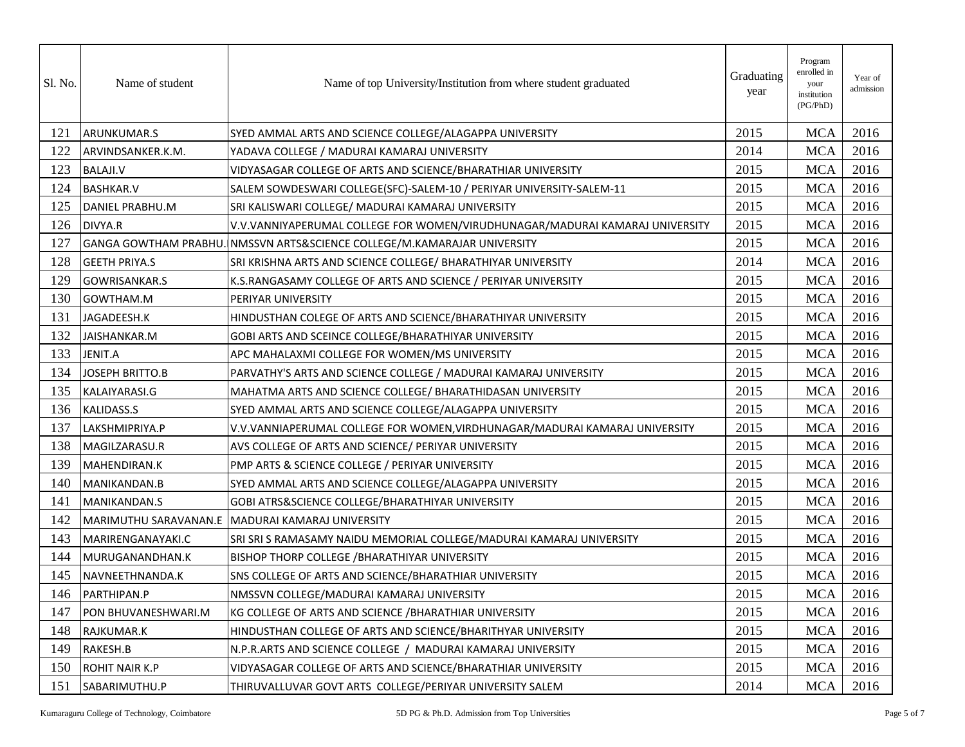| Sl. No. | Name of student        | Name of top University/Institution from where student graduated              | Graduating<br>year | Program<br>enrolled in<br>your<br>institution<br>(PG/PhD) | Year of<br>admission |
|---------|------------------------|------------------------------------------------------------------------------|--------------------|-----------------------------------------------------------|----------------------|
| 121     | ARUNKUMAR.S            | SYED AMMAL ARTS AND SCIENCE COLLEGE/ALAGAPPA UNIVERSITY                      | 2015               | <b>MCA</b>                                                | 2016                 |
| 122     | ARVINDSANKER.K.M.      | YADAVA COLLEGE / MADURAI KAMARAJ UNIVERSITY                                  | 2014               | <b>MCA</b>                                                | 2016                 |
| 123     | <b>BALAJI.V</b>        | VIDYASAGAR COLLEGE OF ARTS AND SCIENCE/BHARATHIAR UNIVERSITY                 | 2015               | <b>MCA</b>                                                | 2016                 |
| 124     | <b>BASHKAR.V</b>       | SALEM SOWDESWARI COLLEGE(SFC)-SALEM-10 / PERIYAR UNIVERSITY-SALEM-11         | 2015               | <b>MCA</b>                                                | 2016                 |
| 125     | DANIEL PRABHU.M        | SRI KALISWARI COLLEGE/ MADURAI KAMARAJ UNIVERSITY                            | 2015               | <b>MCA</b>                                                | 2016                 |
| 126     | DIVYA.R                | V.V.VANNIYAPERUMAL COLLEGE FOR WOMEN/VIRUDHUNAGAR/MADURAI KAMARAJ UNIVERSITY | 2015               | <b>MCA</b>                                                | 2016                 |
| 127     |                        | GANGA GOWTHAM PRABHU. INMSSVN ARTS&SCIENCE COLLEGE/M.KAMARAJAR UNIVERSITY    | 2015               | <b>MCA</b>                                                | 2016                 |
| 128     | <b>GEETH PRIYA.S</b>   | SRI KRISHNA ARTS AND SCIENCE COLLEGE/ BHARATHIYAR UNIVERSITY                 | 2014               | <b>MCA</b>                                                | 2016                 |
| 129     | <b>GOWRISANKAR.S</b>   | K.S.RANGASAMY COLLEGE OF ARTS AND SCIENCE / PERIYAR UNIVERSITY               | 2015               | <b>MCA</b>                                                | 2016                 |
| 130     | GOWTHAM.M              | PERIYAR UNIVERSITY                                                           | 2015               | <b>MCA</b>                                                | 2016                 |
| 131     | JAGADEESH.K            | HINDUSTHAN COLEGE OF ARTS AND SCIENCE/BHARATHIYAR UNIVERSITY                 | 2015               | <b>MCA</b>                                                | 2016                 |
| 132     | JAISHANKAR.M           | GOBI ARTS AND SCEINCE COLLEGE/BHARATHIYAR UNIVERSITY                         | 2015               | <b>MCA</b>                                                | 2016                 |
| 133     | JENIT.A                | APC MAHALAXMI COLLEGE FOR WOMEN/MS UNIVERSITY                                | 2015               | <b>MCA</b>                                                | 2016                 |
| 134     | <b>JOSEPH BRITTO.B</b> | PARVATHY'S ARTS AND SCIENCE COLLEGE / MADURAI KAMARAJ UNIVERSITY             | 2015               | <b>MCA</b>                                                | 2016                 |
| 135     | KALAIYARASI.G          | MAHATMA ARTS AND SCIENCE COLLEGE/ BHARATHIDASAN UNIVERSITY                   | 2015               | <b>MCA</b>                                                | 2016                 |
| 136     | <b>KALIDASS.S</b>      | SYED AMMAL ARTS AND SCIENCE COLLEGE/ALAGAPPA UNIVERSITY                      | 2015               | <b>MCA</b>                                                | 2016                 |
| 137     | LAKSHMIPRIYA.P         | V.V.VANNIAPERUMAL COLLEGE FOR WOMEN, VIRDHUNAGAR/MADURAI KAMARAJ UNIVERSITY  | 2015               | <b>MCA</b>                                                | 2016                 |
| 138     | MAGILZARASU.R          | AVS COLLEGE OF ARTS AND SCIENCE/ PERIYAR UNIVERSITY                          | 2015               | <b>MCA</b>                                                | 2016                 |
| 139     | MAHENDIRAN.K           | PMP ARTS & SCIENCE COLLEGE / PERIYAR UNIVERSITY                              | 2015               | <b>MCA</b>                                                | 2016                 |
| 140     | MANIKANDAN.B           | SYED AMMAL ARTS AND SCIENCE COLLEGE/ALAGAPPA UNIVERSITY                      | 2015               | <b>MCA</b>                                                | 2016                 |
| 141     | MANIKANDAN.S           | GOBI ATRS&SCIENCE COLLEGE/BHARATHIYAR UNIVERSITY                             | 2015               | <b>MCA</b>                                                | 2016                 |
| 142     |                        | MARIMUTHU SARAVANAN.E  MADURAI KAMARAJ UNIVERSITY                            | 2015               | <b>MCA</b>                                                | 2016                 |
| 143     | MARIRENGANAYAKI.C      | SRI SRI S RAMASAMY NAIDU MEMORIAL COLLEGE/MADURAI KAMARAJ UNIVERSITY         | 2015               | <b>MCA</b>                                                | 2016                 |
| 144     | MURUGANANDHAN.K        | <b>BISHOP THORP COLLEGE / BHARATHIYAR UNIVERSITY</b>                         | 2015               | <b>MCA</b>                                                | 2016                 |
| 145     | NAVNEETHNANDA.K        | SNS COLLEGE OF ARTS AND SCIENCE/BHARATHIAR UNIVERSITY                        | 2015               | <b>MCA</b>                                                | 2016                 |
| 146     | PARTHIPAN.P            | NMSSVN COLLEGE/MADURAI KAMARAJ UNIVERSITY                                    | 2015               | <b>MCA</b>                                                | 2016                 |
| 147     | PON BHUVANESHWARI.M    | KG COLLEGE OF ARTS AND SCIENCE / BHARATHIAR UNIVERSITY                       | 2015               | <b>MCA</b>                                                | 2016                 |
| 148     | RAJKUMAR.K             | HINDUSTHAN COLLEGE OF ARTS AND SCIENCE/BHARITHYAR UNIVERSITY                 | 2015               | <b>MCA</b>                                                | 2016                 |
| 149     | RAKESH.B               | N.P.R.ARTS AND SCIENCE COLLEGE / MADURAI KAMARAJ UNIVERSITY                  | 2015               | <b>MCA</b>                                                | 2016                 |
| 150     | <b>ROHIT NAIR K.P</b>  | VIDYASAGAR COLLEGE OF ARTS AND SCIENCE/BHARATHIAR UNIVERSITY                 | 2015               | <b>MCA</b>                                                | 2016                 |
| 151     | SABARIMUTHU.P          | THIRUVALLUVAR GOVT ARTS COLLEGE/PERIYAR UNIVERSITY SALEM                     | 2014               | <b>MCA</b>                                                | 2016                 |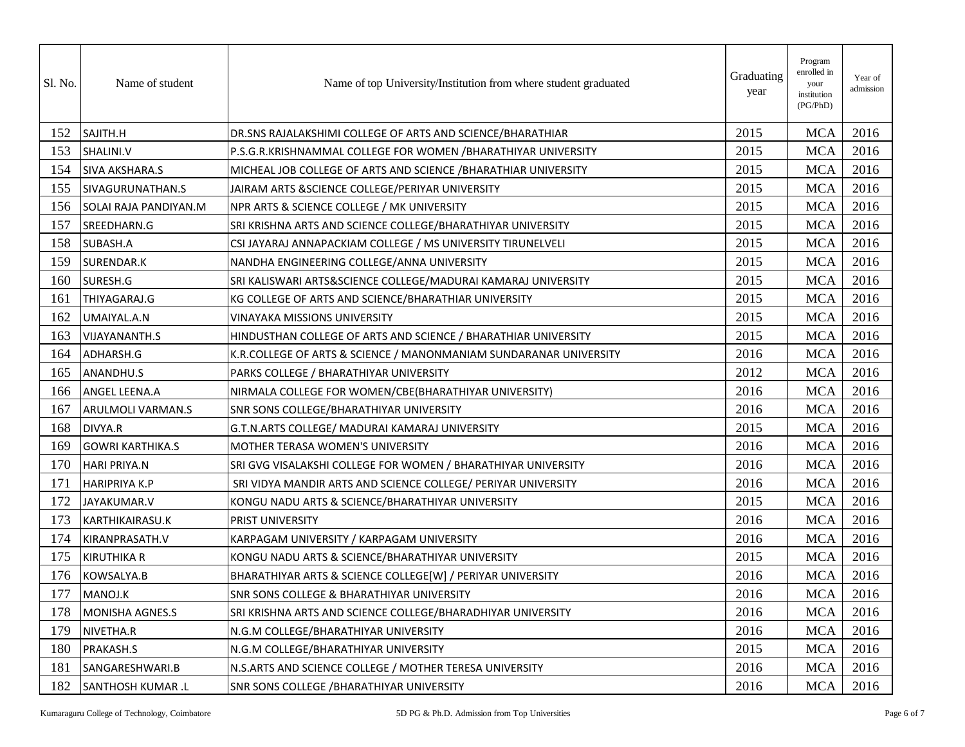| Sl. No. | Name of student          | Name of top University/Institution from where student graduated   | Graduating<br>year | Program<br>enrolled in<br>your<br>institution<br>(PG/PhD) | Year of<br>admission |
|---------|--------------------------|-------------------------------------------------------------------|--------------------|-----------------------------------------------------------|----------------------|
| 152     | SAJITH.H                 | DR.SNS RAJALAKSHIMI COLLEGE OF ARTS AND SCIENCE/BHARATHIAR        | 2015               | <b>MCA</b>                                                | 2016                 |
| 153     | SHALINI.V                | P.S.G.R.KRISHNAMMAL COLLEGE FOR WOMEN /BHARATHIYAR UNIVERSITY     | 2015               | <b>MCA</b>                                                | 2016                 |
| 154     | <b>SIVA AKSHARA.S</b>    | MICHEAL JOB COLLEGE OF ARTS AND SCIENCE / BHARATHIAR UNIVERSITY   | 2015               | <b>MCA</b>                                                | 2016                 |
| 155     | SIVAGURUNATHAN.S         | JAIRAM ARTS & SCIENCE COLLEGE/PERIYAR UNIVERSITY                  | 2015               | <b>MCA</b>                                                | 2016                 |
| 156     | SOLAI RAJA PANDIYAN.M    | NPR ARTS & SCIENCE COLLEGE / MK UNIVERSITY                        | 2015               | <b>MCA</b>                                                | 2016                 |
| 157     | SREEDHARN.G              | SRI KRISHNA ARTS AND SCIENCE COLLEGE/BHARATHIYAR UNIVERSITY       | 2015               | <b>MCA</b>                                                | 2016                 |
| 158     | SUBASH.A                 | CSI JAYARAJ ANNAPACKIAM COLLEGE / MS UNIVERSITY TIRUNELVELI       | 2015               | <b>MCA</b>                                                | 2016                 |
| 159     | SURENDAR.K               | NANDHA ENGINEERING COLLEGE/ANNA UNIVERSITY                        | 2015               | <b>MCA</b>                                                | 2016                 |
| 160     | SURESH.G                 | SRI KALISWARI ARTS&SCIENCE COLLEGE/MADURAI KAMARAJ UNIVERSITY     | 2015               | <b>MCA</b>                                                | 2016                 |
| 161     | THIYAGARAJ.G             | KG COLLEGE OF ARTS AND SCIENCE/BHARATHIAR UNIVERSITY              | 2015               | <b>MCA</b>                                                | 2016                 |
| 162     | UMAIYAL.A.N              | <b>VINAYAKA MISSIONS UNIVERSITY</b>                               | 2015               | <b>MCA</b>                                                | 2016                 |
| 163     | <b>VIJAYANANTH.S</b>     | HINDUSTHAN COLLEGE OF ARTS AND SCIENCE / BHARATHIAR UNIVERSITY    | 2015               | <b>MCA</b>                                                | 2016                 |
| 164     | ADHARSH.G                | K.R.COLLEGE OF ARTS & SCIENCE / MANONMANIAM SUNDARANAR UNIVERSITY | 2016               | <b>MCA</b>                                                | 2016                 |
| 165     | ANANDHU.S                | PARKS COLLEGE / BHARATHIYAR UNIVERSITY                            | 2012               | <b>MCA</b>                                                | 2016                 |
| 166     | ANGEL LEENA.A            | NIRMALA COLLEGE FOR WOMEN/CBE(BHARATHIYAR UNIVERSITY)             | 2016               | <b>MCA</b>                                                | 2016                 |
| 167     | ARULMOLI VARMAN.S        | SNR SONS COLLEGE/BHARATHIYAR UNIVERSITY                           | 2016               | <b>MCA</b>                                                | 2016                 |
| 168     | DIVYA.R                  | G.T.N.ARTS COLLEGE/ MADURAI KAMARAJ UNIVERSITY                    | 2015               | <b>MCA</b>                                                | 2016                 |
| 169     | <b>GOWRI KARTHIKA.S</b>  | MOTHER TERASA WOMEN'S UNIVERSITY                                  | 2016               | <b>MCA</b>                                                | 2016                 |
| 170     | <b>HARI PRIYA.N</b>      | SRI GVG VISALAKSHI COLLEGE FOR WOMEN / BHARATHIYAR UNIVERSITY     | 2016               | <b>MCA</b>                                                | 2016                 |
| 171     | <b>HARIPRIYA K.P</b>     | SRI VIDYA MANDIR ARTS AND SCIENCE COLLEGE/ PERIYAR UNIVERSITY     | 2016               | <b>MCA</b>                                                | 2016                 |
| 172     | JAYAKUMAR.V              | KONGU NADU ARTS & SCIENCE/BHARATHIYAR UNIVERSITY                  | 2015               | <b>MCA</b>                                                | 2016                 |
| 173     | <b>KARTHIKAIRASU.K</b>   | PRIST UNIVERSITY                                                  | 2016               | <b>MCA</b>                                                | 2016                 |
| 174     | KIRANPRASATH.V           | KARPAGAM UNIVERSITY / KARPAGAM UNIVERSITY                         | 2016               | <b>MCA</b>                                                | 2016                 |
| 175     | <b>KIRUTHIKA R</b>       | KONGU NADU ARTS & SCIENCE/BHARATHIYAR UNIVERSITY                  | 2015               | <b>MCA</b>                                                | 2016                 |
| 176     | KOWSALYA.B               | BHARATHIYAR ARTS & SCIENCE COLLEGE[W] / PERIYAR UNIVERSITY        | 2016               | <b>MCA</b>                                                | 2016                 |
| 177     | MANOJ.K                  | SNR SONS COLLEGE & BHARATHIYAR UNIVERSITY                         | 2016               | <b>MCA</b>                                                | 2016                 |
| 178     | MONISHA AGNES.S          | İSRI KRISHNA ARTS AND SCIENCE COLLEGE/BHARADHIYAR UNIVERSITY      | 2016               | <b>MCA</b>                                                | 2016                 |
| 179     | NIVETHA.R                | N.G.M COLLEGE/BHARATHIYAR UNIVERSITY                              | 2016               | <b>MCA</b>                                                | 2016                 |
| 180     | PRAKASH.S                | N.G.M COLLEGE/BHARATHIYAR UNIVERSITY                              | 2015               | <b>MCA</b>                                                | 2016                 |
| 181     | SANGARESHWARI.B          | N.S.ARTS AND SCIENCE COLLEGE / MOTHER TERESA UNIVERSITY           | 2016               | <b>MCA</b>                                                | 2016                 |
| 182     | <b>SANTHOSH KUMAR .L</b> | <b>SNR SONS COLLEGE / BHARATHIYAR UNIVERSITY</b>                  | 2016               | <b>MCA</b>                                                | 2016                 |